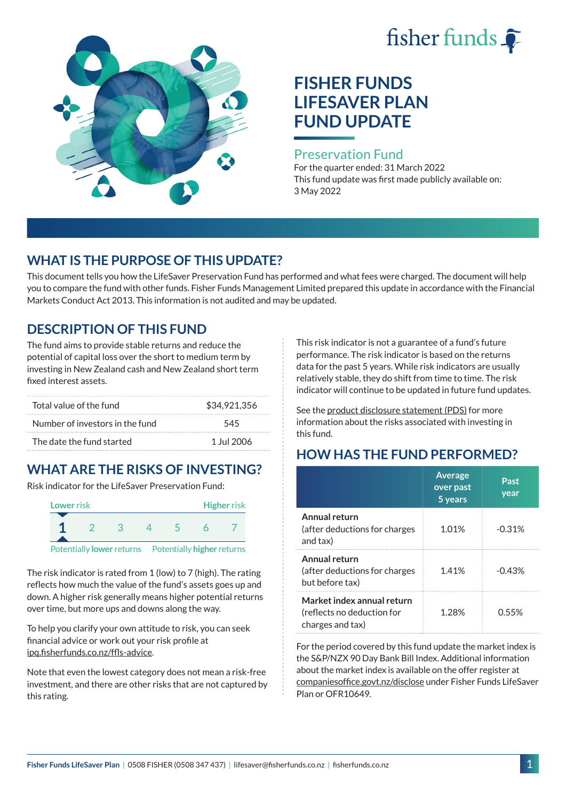# fisher funds



# **FISHER FUNDS LIFESAVER PLAN FUND UPDATE**

#### Preservation Fund

For the quarter ended: 31 March 2022 This fund update was first made publicly available on: 3 May 2022

## **WHAT IS THE PURPOSE OF THIS UPDATE?**

This document tells you how the LifeSaver Preservation Fund has performed and what fees were charged. The document will help you to compare the fund with other funds. Fisher Funds Management Limited prepared this update in accordance with the Financial Markets Conduct Act 2013. This information is not audited and may be updated.

## **DESCRIPTION OF THIS FUND**

The fund aims to provide stable returns and reduce the potential of capital loss over the short to medium term by investing in New Zealand cash and New Zealand short term fixed interest assets.

| Total value of the fund         | \$34.921.356 |
|---------------------------------|--------------|
| Number of investors in the fund | 545          |
| The date the fund started       | 1 Jul 2006   |

## **WHAT ARE THE RISKS OF INVESTING?**

Risk indicator for the LifeSaver Preservation Fund:



The risk indicator is rated from 1 (low) to 7 (high). The rating reflects how much the value of the fund's assets goes up and down. A higher risk generally means higher potential returns over time, but more ups and downs along the way.

To help you clarify your own attitude to risk, you can seek financial advice or work out your risk profile at [ipq.fisherfunds.co.nz/ffls-advice](https://ipq.fisherfunds.co.nz/ffls-advice).

Note that even the lowest category does not mean a risk-free investment, and there are other risks that are not captured by this rating.

This risk indicator is not a guarantee of a fund's future performance. The risk indicator is based on the returns data for the past 5 years. While risk indicators are usually relatively stable, they do shift from time to time. The risk indicator will continue to be updated in future fund updates.

See the [product disclosure statement \(PDS\)](https://fisherfunds.co.nz/assets/PDS/Fisher-Funds-LifeSaver-Plan-PDS.pdf) for more information about the risks associated with investing in this fund.

## **HOW HAS THE FUND PERFORMED?**

|                                                                              | <b>Average</b><br>over past<br>5 years | Past<br>year |
|------------------------------------------------------------------------------|----------------------------------------|--------------|
| Annual return<br>(after deductions for charges<br>and tax)                   | 1.01%                                  | $-0.31%$     |
| Annual return<br>(after deductions for charges<br>but before tax)            | 1.41%                                  | $-0.43%$     |
| Market index annual return<br>(reflects no deduction for<br>charges and tax) | 1.28%                                  | <u>በ 55%</u> |

For the period covered by this fund update the market index is the S&P/NZX 90 Day Bank Bill Index. Additional information about the market index is available on the offer register at [companiesoffice.govt.nz/disclose](http://companiesoffice.govt.nz/disclose) under Fisher Funds LifeSaver Plan or OFR10649.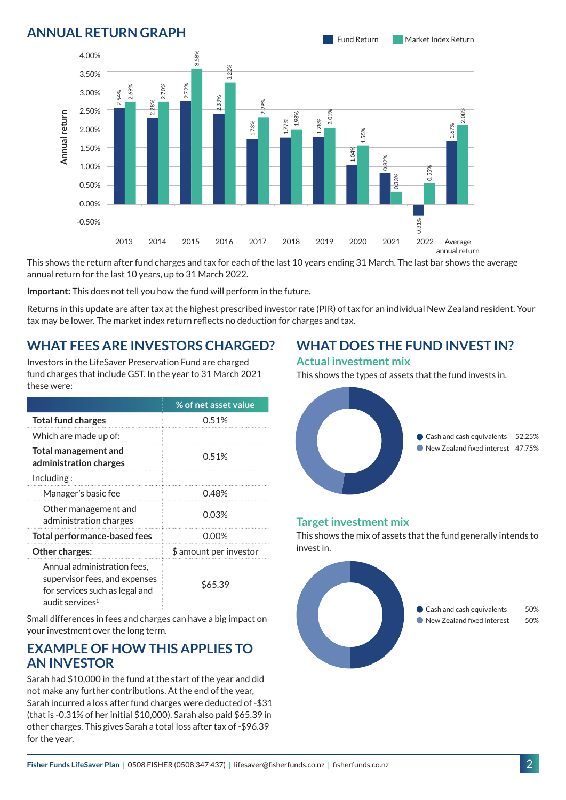### **ANNUAL RETURN GRAPH**



## **WHAT FEES ARE INVESTORS CHARGED?**

| Fisher Funds LifeSaver Plan   0508 FISHER (0508 347 437)   lifesaver@fisherfunds.co.nz   fisherfunds.co.nz                                                                                                                                                                                                                                                       |              |                               |      |      |            |      |                              |                                                                | $\overline{2}$ |
|------------------------------------------------------------------------------------------------------------------------------------------------------------------------------------------------------------------------------------------------------------------------------------------------------------------------------------------------------------------|--------------|-------------------------------|------|------|------------|------|------------------------------|----------------------------------------------------------------|----------------|
| Sarah had \$10,000 in the fund at the start of the year and did<br>not make any further contributions. At the end of the year,<br>Sarah incurred a loss after fund charges were deducted of -\$31<br>(that is -0.31% of her initial \$10,000). Sarah also paid \$65.39 in<br>other charges. This gives Sarah a total loss after tax of -\$96.39<br>for the year. |              |                               |      |      |            |      |                              |                                                                |                |
| <b>EXAMPLE OF HOW THIS APPLIES TO</b><br><b>AN INVESTOR</b>                                                                                                                                                                                                                                                                                                      |              |                               |      |      |            |      |                              |                                                                |                |
| your investment over the long term.                                                                                                                                                                                                                                                                                                                              |              |                               |      |      |            |      |                              |                                                                |                |
| audit services <sup>1</sup><br>Small differences in fees and charges can have a big impact on                                                                                                                                                                                                                                                                    |              |                               |      |      |            |      |                              | Cash and cash equivalents<br>New Zealand fixed interest        | 50<br>50       |
| Annual administration fees,<br>supervisor fees, and expenses<br>for services such as legal and                                                                                                                                                                                                                                                                   |              | \$65.39                       |      |      |            |      |                              |                                                                |                |
| Other charges:                                                                                                                                                                                                                                                                                                                                                   |              | \$ amount per investor        |      |      | invest in. |      |                              |                                                                |                |
| <b>Total performance-based fees</b>                                                                                                                                                                                                                                                                                                                              |              | 0.00%                         |      |      |            |      | <b>Target investment mix</b> | This shows the mix of assets that the fund generally intends t |                |
| Other management and<br>administration charges                                                                                                                                                                                                                                                                                                                   |              | 0.03%                         |      |      |            |      |                              |                                                                |                |
| Manager's basic fee                                                                                                                                                                                                                                                                                                                                              |              | 0.48%                         |      |      |            |      |                              |                                                                |                |
| administration charges<br>Including:                                                                                                                                                                                                                                                                                                                             |              |                               |      |      |            |      |                              |                                                                |                |
| <b>Total management and</b>                                                                                                                                                                                                                                                                                                                                      |              | 0.51%                         |      |      |            |      |                              | New Zealand fixed interest 47.75                               |                |
| Which are made up of:                                                                                                                                                                                                                                                                                                                                            |              |                               |      |      |            |      |                              | Cash and cash equivalents 52.25                                |                |
| <b>Total fund charges</b>                                                                                                                                                                                                                                                                                                                                        |              | % of net asset value<br>0.51% |      |      |            |      |                              |                                                                |                |
| Investors in the LifeSaver Preservation Fund are charged<br>fund charges that include GST. In the year to 31 March 2021<br>these were:                                                                                                                                                                                                                           |              |                               |      |      |            |      | <b>Actual investment mix</b> | This shows the types of assets that the fund invests in.       |                |
| tax may be lower. The market index return reflects no deduction for charges and tax.<br><b>WHAT FEES ARE INVESTORS CHARGED?</b>                                                                                                                                                                                                                                  |              |                               |      |      |            |      |                              | <b>WHAT DOES THE FUND INVEST IN?</b>                           |                |
| Returns in this update are after tax at the highest prescribed investor rate (PIR) of tax for an individual New Zealand resident. You                                                                                                                                                                                                                            |              |                               |      |      |            |      |                              |                                                                |                |
| Important: This does not tell you how the fund will perform in the future.                                                                                                                                                                                                                                                                                       |              |                               |      |      |            |      |                              |                                                                |                |
| This shows the return after fund charges and tax for each of the last 10 years ending 31 March. The last bar shows the average<br>annual return for the last 10 years, up to 31 March 2022.                                                                                                                                                                      |              |                               |      |      |            |      |                              |                                                                |                |
| 2013                                                                                                                                                                                                                                                                                                                                                             | 2015<br>2014 | 2016                          | 2017 | 2018 | 2019       | 2020 | 2021                         | 2022<br>Average<br>annual return                               |                |
| $-0.50%$                                                                                                                                                                                                                                                                                                                                                         |              |                               |      |      |            |      |                              | $-0.31%$                                                       |                |
| 0.00%                                                                                                                                                                                                                                                                                                                                                            |              |                               |      |      |            |      |                              |                                                                |                |
| 0.50%                                                                                                                                                                                                                                                                                                                                                            |              |                               |      |      |            |      | 0,33%                        |                                                                |                |
| 1.00%                                                                                                                                                                                                                                                                                                                                                            |              |                               |      |      |            |      | ੌ                            | 0.55%                                                          |                |

### **EXAMPLE OF HOW THIS APPLIES TO AN INVESTOR**

# **WHAT DOES THE FUND INVEST IN?**

#### **Actual investment mix**



#### **Target investment mix**